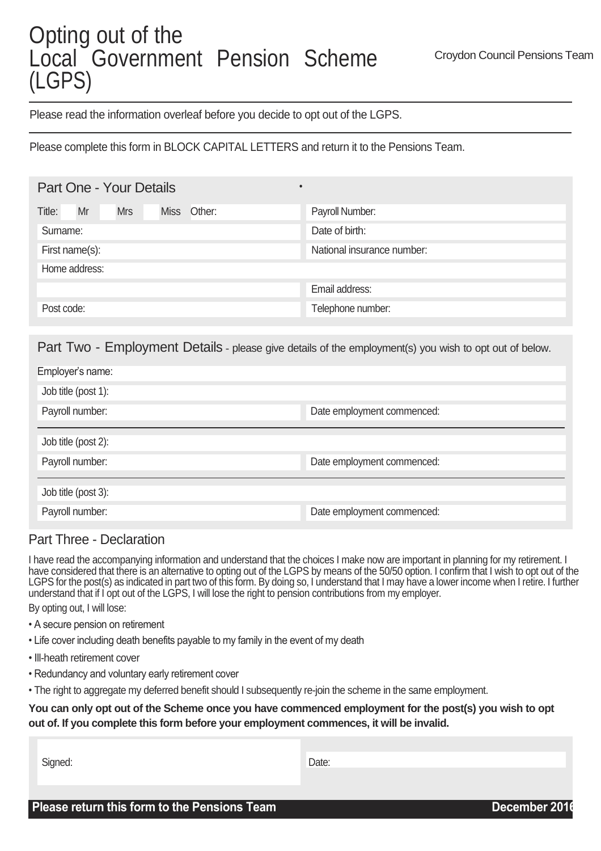## Opting out of the Local Government Pension Scheme (LGPS)

Please read the information overleaf before you decide to opt out of the LGPS.

Please complete this form in BLOCK CAPITAL LETTERS and return it to the Pensions Team.

| Mr<br>Title:   | <b>Mrs</b> | <b>Miss</b> | Other: | Payroll Number:            |
|----------------|------------|-------------|--------|----------------------------|
| Surname:       |            |             |        | Date of birth:             |
| First name(s): |            |             |        | National insurance number: |
| Home address:  |            |             |        |                            |
|                |            |             |        | Email address:             |
| Post code:     |            |             |        | Telephone number:          |

•

Part Two - Employment Details - please give details of the employment(s) you wish to opt out of below.

| Employer's name:    |                            |
|---------------------|----------------------------|
| Job title (post 1): |                            |
| Payroll number:     | Date employment commenced: |
|                     |                            |
| Job title (post 2): |                            |
| Payroll number:     | Date employment commenced: |
|                     |                            |
| Job title (post 3): |                            |
| Payroll number:     | Date employment commenced: |

## Part Three - Declaration

I have read the accompanying information and understand that the choices I make now are important in planning for my retirement. I have considered that there is an alternative to opting out of the LGPS by means of the 50/50 option. I confirm that I wish to opt out of the LGPS for the post(s) as indicated in part two of this form. By doing so, I understand that I may have a lower income when I retire. I further understand that if I opt out of the LGPS, I will lose the right to pension contributions from my employer.

By opting out, I will lose:

- A secure pension on retirement
- Life cover including death benefits payable to my family in the event of my death
- Ill-heath retirement cover
- Redundancy and voluntary early retirement cover
- The right to aggregate my deferred benefit should I subsequently re-join the scheme in the same employment.

## **You can only opt out of the Scheme once you have commenced employment for the post(s) you wish to opt out of. If you complete this form before your employment commences, it will be invalid.**

Signed: **Date:** Date: **Date:** Propose of the state of the state of the state of the Date: